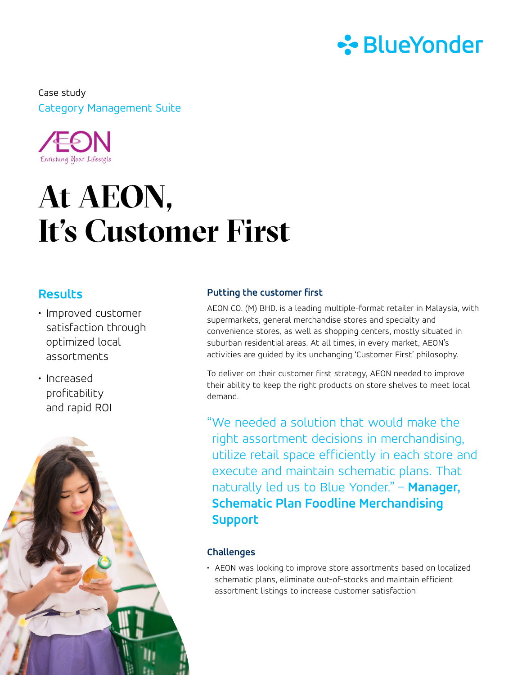

Category Management Suite Case study



# **At AEON, It's Customer First**

## **Results**

- Improved customer satisfaction through optimized local assortments
- Increased profitability and rapid ROI



### **Putting the customer first**

AEON CO. (M) BHD. is a leading multiple-format retailer in Malaysia, with supermarkets, general merchandise stores and specialty and convenience stores, as well as shopping centers, mostly situated in suburban residential areas. At all times, in every market, AEON's activities are guided by its unchanging 'Customer First' philosophy.

To deliver on their customer first strategy, AEON needed to improve their ability to keep the right products on store shelves to meet local demand.

"We needed a solution that would make the right assortment decisions in merchandising, utilize retail space efficiently in each store and execute and maintain schematic plans. That naturally led us to Blue Yonder." – **Manager, Schematic Plan Foodline Merchandising Support**

## **Challenges**

• AEON was looking to improve store assortments based on localized schematic plans, eliminate out-of-stocks and maintain efficient assortment listings to increase customer satisfaction